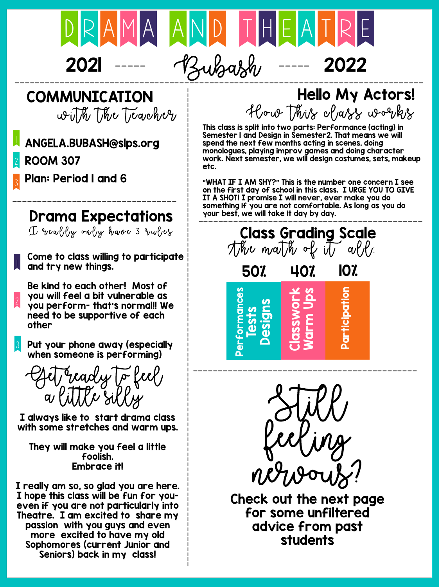

# 2021 ----- Bubash ----- 2022

# COMMUNICATION

writh the Teacher

### **)** ANGELA.BUBASH@slps.org

2 ROOM 307

3 Plan: Period 1 and 6

### --------------------------------- Drama Expectations

 $I$  really only have 3 rules

|<br>|<br>| Come to class willing to participate and try new things.

2 Be kind to each other! Most of you will feel a bit vulnerable as you perform- that's normal!! We need to be supportive of each other

3 Put your phone away (especially when someone is performing)

geady to feel,  $K$ e silky

I always like to start drama class with some stretches and warm ups.

They will make you feel a little foolish. Embrace it!

I really am so, so glad you are here. I hope this class will be fun for youeven if you are not particularly into Theatre. I am excited to share my passion with you guys and even more excited to have my old Sophomores (current Junior and Seniors) back in my class!

## Hello My Actors! How This class works

This class is split into two parts: Performance (acting) in Semester 1 and Design in Semester2. That means we will spend the next few months acting in scenes, doing monologues, playing improv games and doing character work. Next semester, we will design costumes, sets, makeup etc.

"WHAT IF I AM SHY?" This is the number one concern I see on the first day of school in this class. I URGE YOU TO GIVE IT A SHOT! I promise I will never, ever make you do something if you are not comfortable. As long as you do your best, we will take it day by day.



Still feeling nervous?

Check out the next page for some unfiltered advice from past students